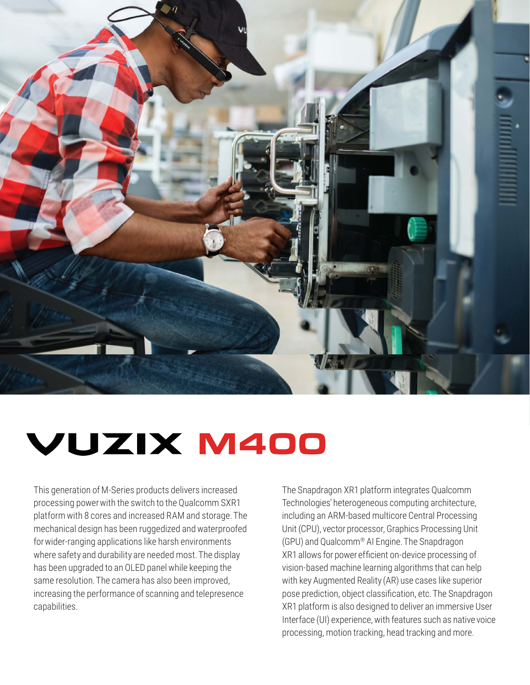

# VUZIX M400

This generation of M-Series products delivers increased processing power with the switch to the Qualcomm SXR1 platform with 8 cores and increased RAM and storage. The mechanical design has been ruggedized and waterproofed for wider-ranging applications like harsh environments where safety and durability are needed most. The display has been upgraded to an OLED panel while keeping the same resolution. The camera has also been improved, increasing the performance of scanning and telepresence capabilities.

The Snapdragon XR1 platform integrates Qualcomm Technologies' heterogeneous computing architecture, including an ARM-based multicore Central Processing Unit (CPU), vector processor, Graphics Processing Unit (GPU) and Qualcomm® AI Engine. The Snapdragon XR1 allows for power efficient on-device processing of vision-based machine learning algorithms that can help with key Augmented Reality (AR) use cases like superior pose prediction, object classification, etc. The Snapdragon XR1 platform is also designed to deliver an immersive User Interface (UI) experience, with features such as native voice processing, motion tracking, head tracking and more.